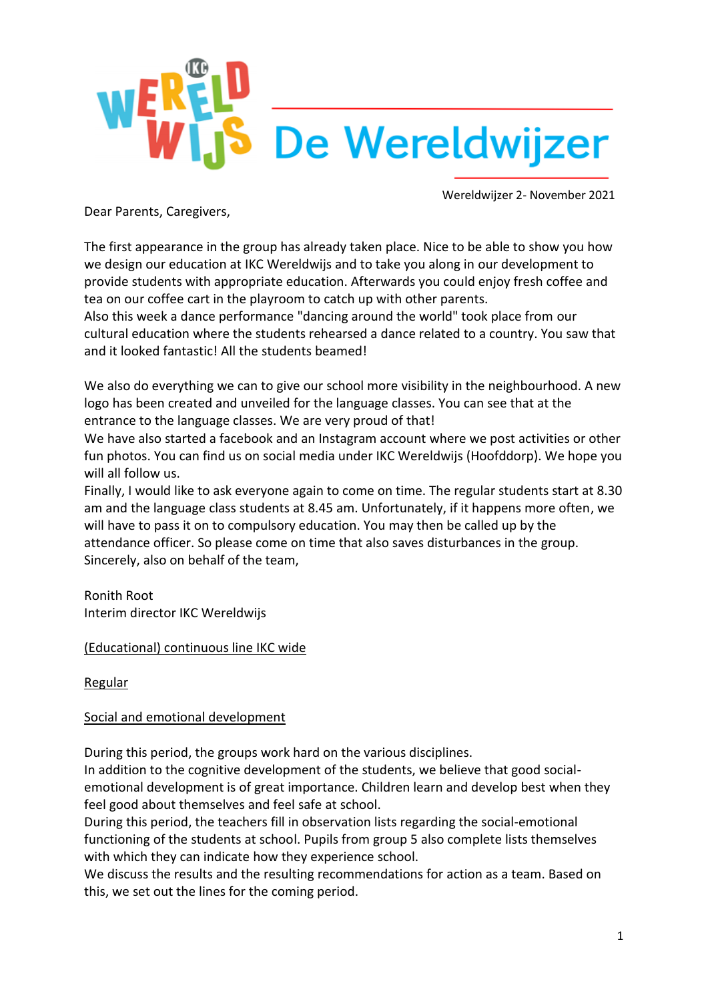

Dear Parents, Caregivers,

The first appearance in the group has already taken place. Nice to be able to show you how we design our education at IKC Wereldwijs and to take you along in our development to provide students with appropriate education. Afterwards you could enjoy fresh coffee and tea on our coffee cart in the playroom to catch up with other parents.

Also this week a dance performance "dancing around the world" took place from our cultural education where the students rehearsed a dance related to a country. You saw that and it looked fantastic! All the students beamed!

We also do everything we can to give our school more visibility in the neighbourhood. A new logo has been created and unveiled for the language classes. You can see that at the entrance to the language classes. We are very proud of that!

We have also started a facebook and an Instagram account where we post activities or other fun photos. You can find us on social media under IKC Wereldwijs (Hoofddorp). We hope you will all follow us.

Finally, I would like to ask everyone again to come on time. The regular students start at 8.30 am and the language class students at 8.45 am. Unfortunately, if it happens more often, we will have to pass it on to compulsory education. You may then be called up by the attendance officer. So please come on time that also saves disturbances in the group. Sincerely, also on behalf of the team,

Ronith Root Interim director IKC Wereldwijs

#### (Educational) continuous line IKC wide

#### **Regular**

#### Social and emotional development

During this period, the groups work hard on the various disciplines.

In addition to the cognitive development of the students, we believe that good socialemotional development is of great importance. Children learn and develop best when they feel good about themselves and feel safe at school.

During this period, the teachers fill in observation lists regarding the social-emotional functioning of the students at school. Pupils from group 5 also complete lists themselves with which they can indicate how they experience school.

We discuss the results and the resulting recommendations for action as a team. Based on this, we set out the lines for the coming period.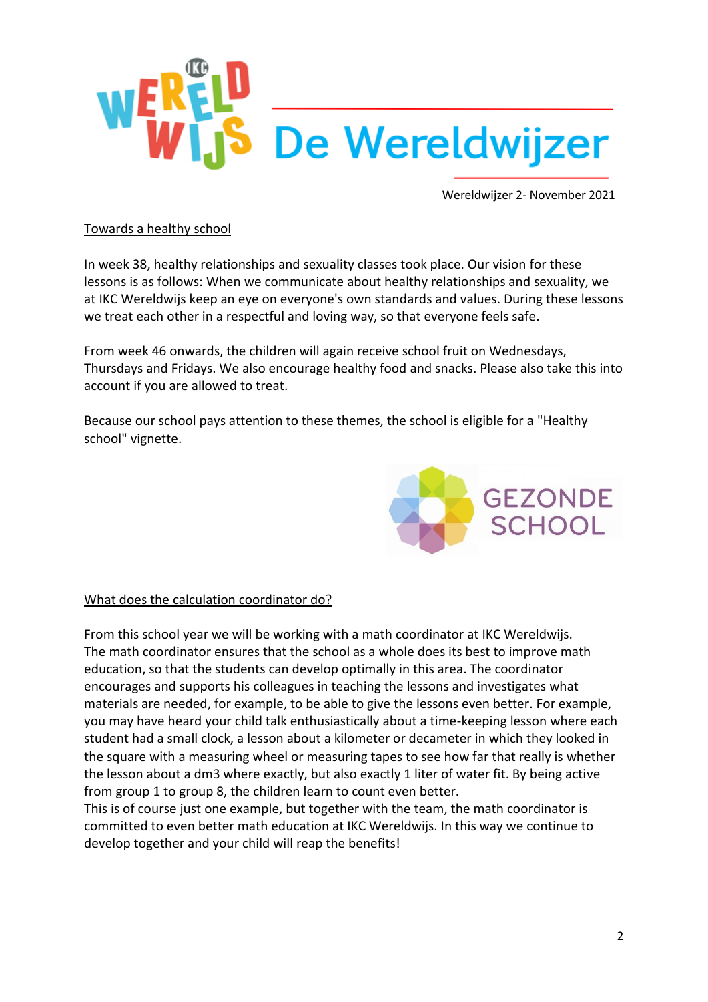

#### Towards a healthy school

In week 38, healthy relationships and sexuality classes took place. Our vision for these lessons is as follows: When we communicate about healthy relationships and sexuality, we at IKC Wereldwijs keep an eye on everyone's own standards and values. During these lessons we treat each other in a respectful and loving way, so that everyone feels safe.

From week 46 onwards, the children will again receive school fruit on Wednesdays, Thursdays and Fridays. We also encourage healthy food and snacks. Please also take this into account if you are allowed to treat.

Because our school pays attention to these themes, the school is eligible for a "Healthy school" vignette.



#### What does the calculation coordinator do?

From this school year we will be working with a math coordinator at IKC Wereldwijs. The math coordinator ensures that the school as a whole does its best to improve math education, so that the students can develop optimally in this area. The coordinator encourages and supports his colleagues in teaching the lessons and investigates what materials are needed, for example, to be able to give the lessons even better. For example, you may have heard your child talk enthusiastically about a time-keeping lesson where each student had a small clock, a lesson about a kilometer or decameter in which they looked in the square with a measuring wheel or measuring tapes to see how far that really is whether the lesson about a dm3 where exactly, but also exactly 1 liter of water fit. By being active from group 1 to group 8, the children learn to count even better.

This is of course just one example, but together with the team, the math coordinator is committed to even better math education at IKC Wereldwijs. In this way we continue to develop together and your child will reap the benefits!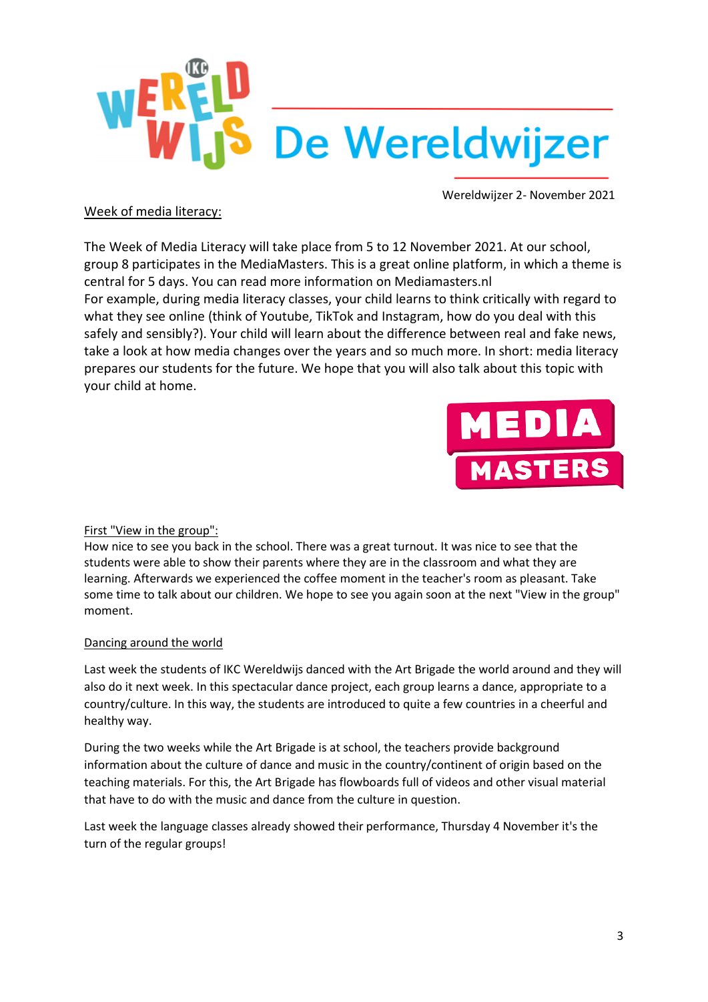

#### Week of media literacy:

The Week of Media Literacy will take place from 5 to 12 November 2021. At our school, group 8 participates in the MediaMasters. This is a great online platform, in which a theme is central for 5 days. You can read more information on Mediamasters.nl For example, during media literacy classes, your child learns to think critically with regard to what they see online (think of Youtube, TikTok and Instagram, how do you deal with this safely and sensibly?). Your child will learn about the difference between real and fake news, take a look at how media changes over the years and so much more. In short: media literacy prepares our students for the future. We hope that you will also talk about this topic with your child at home.



First "View in the group":

How nice to see you back in the school. There was a great turnout. It was nice to see that the students were able to show their parents where they are in the classroom and what they are learning. Afterwards we experienced the coffee moment in the teacher's room as pleasant. Take some time to talk about our children. We hope to see you again soon at the next "View in the group" moment.

#### Dancing around the world

Last week the students of IKC Wereldwijs danced with the Art Brigade the world around and they will also do it next week. In this spectacular dance project, each group learns a dance, appropriate to a country/culture. In this way, the students are introduced to quite a few countries in a cheerful and healthy way.

During the two weeks while the Art Brigade is at school, the teachers provide background information about the culture of dance and music in the country/continent of origin based on the teaching materials. For this, the Art Brigade has flowboards full of videos and other visual material that have to do with the music and dance from the culture in question.

Last week the language classes already showed their performance, Thursday 4 November it's the turn of the regular groups!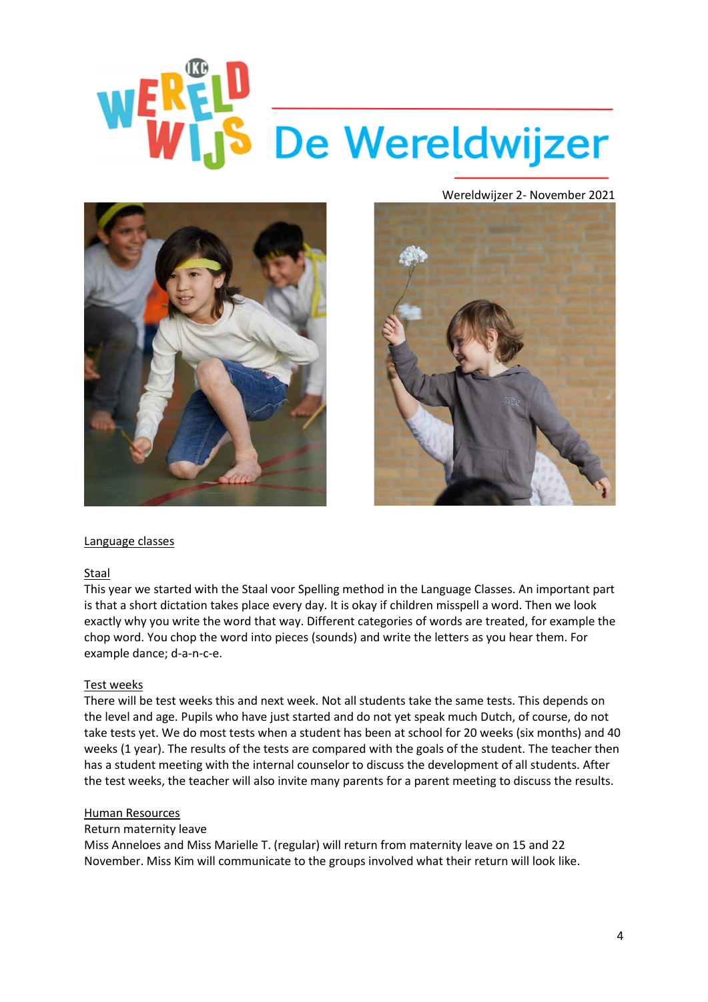## REID<br>VIS De Wereldwijzer  $W_{\text{LZ}}^{\text{ER}}$





#### Language classes

#### Staal

This year we started with the Staal voor Spelling method in the Language Classes. An important part is that a short dictation takes place every day. It is okay if children misspell a word. Then we look exactly why you write the word that way. Different categories of words are treated, for example the chop word. You chop the word into pieces (sounds) and write the letters as you hear them. For example dance; d-a-n-c-e.

#### Test weeks

There will be test weeks this and next week. Not all students take the same tests. This depends on the level and age. Pupils who have just started and do not yet speak much Dutch, of course, do not take tests yet. We do most tests when a student has been at school for 20 weeks (six months) and 40 weeks (1 year). The results of the tests are compared with the goals of the student. The teacher then has a student meeting with the internal counselor to discuss the development of all students. After the test weeks, the teacher will also invite many parents for a parent meeting to discuss the results.

#### Human Resources

#### Return maternity leave

Miss Anneloes and Miss Marielle T. (regular) will return from maternity leave on 15 and 22 November. Miss Kim will communicate to the groups involved what their return will look like.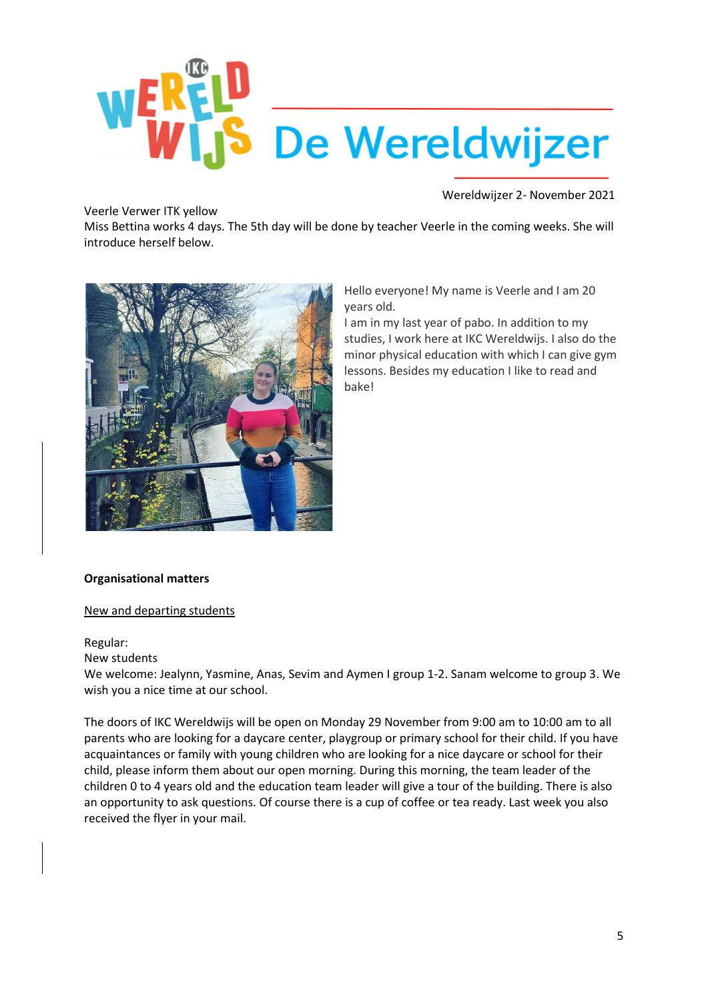

Veerle Verwer ITK yellow

Miss Bettina works 4 days. The 5th day will be done by teacher Veerle in the coming weeks. She will introduce herself below.



Hello everyone! My name is Veerle and I am 20 years old.

I am in my last year of pabo. In addition to my studies, I work here at IKC Wereldwijs. I also do the minor physical education with which I can give gym lessons. Besides my education I like to read and bake!

#### **Organisational matters**

#### New and departing students

#### Regular:

#### New students

We welcome: Jealynn, Yasmine, Anas, Sevim and Aymen I group 1-2. Sanam welcome to group 3. We wish you a nice time at our school.

The doors of IKC Wereldwijs will be open on Monday 29 November from 9:00 am to 10:00 am to all parents who are looking for a daycare center, playgroup or primary school for their child. If you have acquaintances or family with young children who are looking for a nice daycare or school for their child, please inform them about our open morning. During this morning, the team leader of the children 0 to 4 years old and the education team leader will give a tour of the building. There is also an opportunity to ask questions. Of course there is a cup of coffee or tea ready. Last week you also received the flyer in your mail.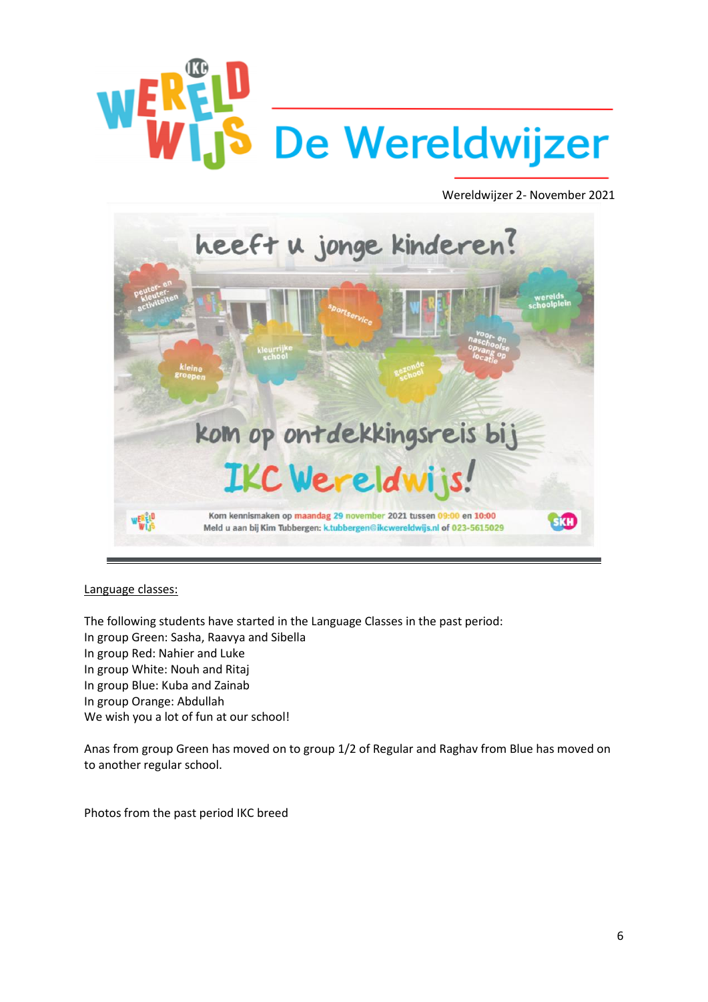## **WER S** De Wereldwijzer

Wereldwijzer 2- November 2021



#### Language classes:

The following students have started in the Language Classes in the past period: In group Green: Sasha, Raavya and Sibella In group Red: Nahier and Luke In group White: Nouh and Ritaj In group Blue: Kuba and Zainab In group Orange: Abdullah We wish you a lot of fun at our school!

Anas from group Green has moved on to group 1/2 of Regular and Raghav from Blue has moved on to another regular school.

Photos from the past period IKC breed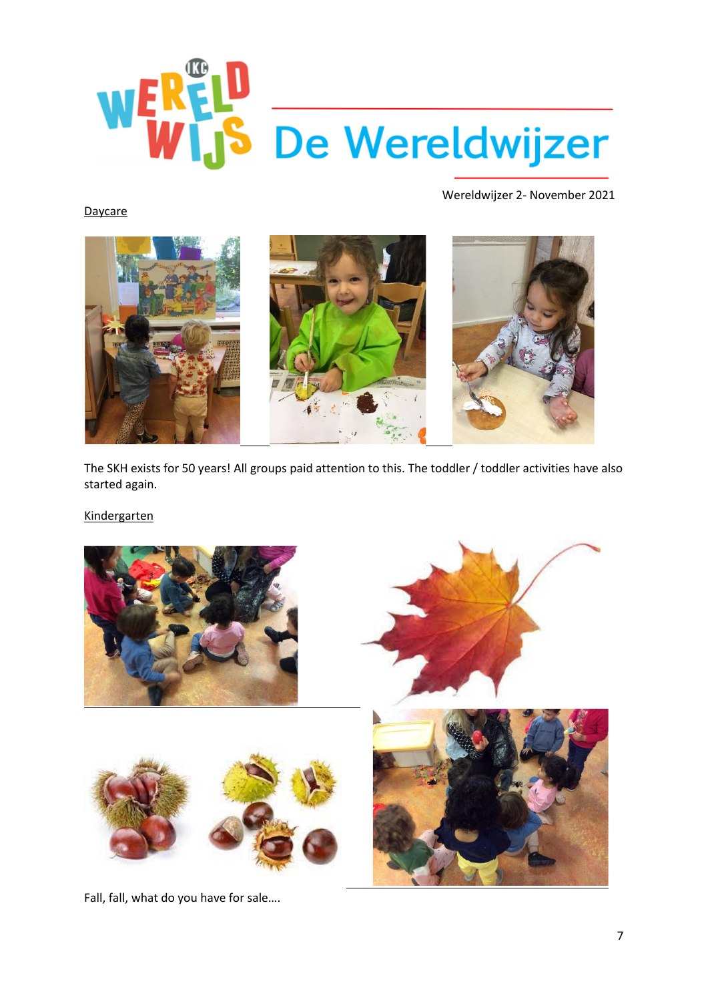

**Daycare** 



The SKH exists for 50 years! All groups paid attention to this. The toddler / toddler activities have also started again.

Kindergarten



Fall, fall, what do you have for sale….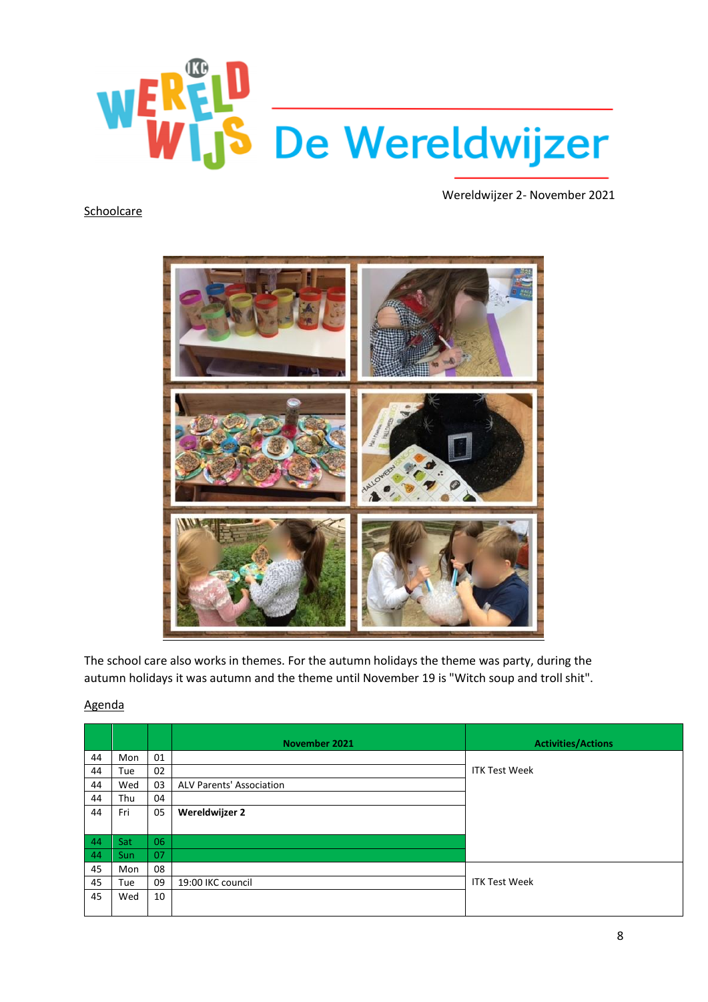

#### **Schoolcare**



The school care also works in themes. For the autumn holidays the theme was party, during the autumn holidays it was autumn and the theme until November 19 is "Witch soup and troll shit".

|    |     |    | November 2021                   | <b>Activities/Actions</b> |
|----|-----|----|---------------------------------|---------------------------|
| 44 | Mon | 01 |                                 |                           |
| 44 | Tue | 02 |                                 | <b>ITK Test Week</b>      |
| 44 | Wed | 03 | <b>ALV Parents' Association</b> |                           |
| 44 | Thu | 04 |                                 |                           |
| 44 | Fri | 05 | Wereldwijzer 2                  |                           |
|    |     |    |                                 |                           |
| 44 | Sat | 06 |                                 |                           |
| 44 | Sun | 07 |                                 |                           |
| 45 | Mon | 08 |                                 |                           |
| 45 | Tue | 09 | 19:00 IKC council               | <b>ITK Test Week</b>      |
| 45 | Wed | 10 |                                 |                           |
|    |     |    |                                 |                           |

#### Agenda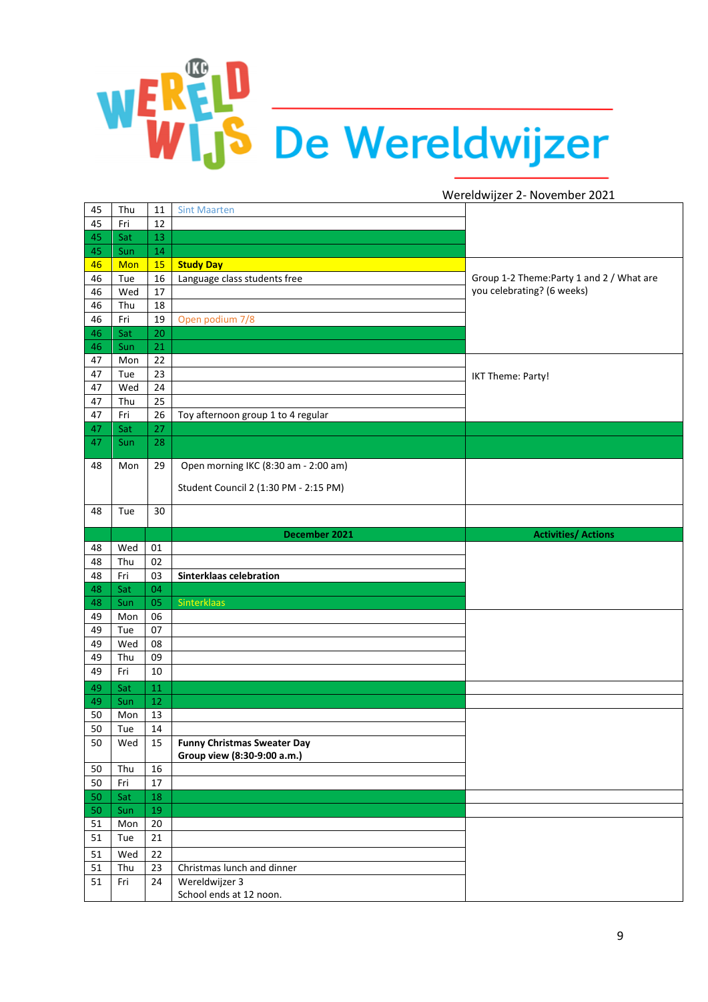# WERELD De Wereldwijzer

| 45 | Thu | 11 | <b>Sint Maarten</b>                       |                                           |
|----|-----|----|-------------------------------------------|-------------------------------------------|
| 45 | Fri | 12 |                                           |                                           |
| 45 | Sat | 13 |                                           |                                           |
| 45 | Sun | 14 |                                           |                                           |
| 46 | Mon | 15 | <b>Study Day</b>                          |                                           |
| 46 | Tue | 16 | Language class students free              | Group 1-2 Theme: Party 1 and 2 / What are |
| 46 | Wed | 17 |                                           | you celebrating? (6 weeks)                |
| 46 | Thu | 18 |                                           |                                           |
| 46 | Fri | 19 | Open podium 7/8                           |                                           |
| 46 | Sat | 20 |                                           |                                           |
| 46 | Sun | 21 |                                           |                                           |
| 47 | Mon | 22 |                                           |                                           |
| 47 | Tue | 23 |                                           | IKT Theme: Party!                         |
| 47 | Wed | 24 |                                           |                                           |
| 47 | Thu | 25 |                                           |                                           |
| 47 | Fri | 26 | Toy afternoon group 1 to 4 regular        |                                           |
| 47 | Sat | 27 |                                           |                                           |
| 47 | Sun | 28 |                                           |                                           |
|    |     |    |                                           |                                           |
| 48 | Mon | 29 | Open morning IKC (8:30 am - 2:00 am)      |                                           |
|    |     |    |                                           |                                           |
|    |     |    | Student Council 2 (1:30 PM - 2:15 PM)     |                                           |
|    | Tue |    |                                           |                                           |
| 48 |     | 30 |                                           |                                           |
|    |     |    | December 2021                             | <b>Activities/ Actions</b>                |
| 48 | Wed | 01 |                                           |                                           |
| 48 | Thu | 02 |                                           |                                           |
|    |     |    |                                           |                                           |
|    |     |    |                                           |                                           |
| 48 | Fri | 03 | <b>Sinterklaas celebration</b>            |                                           |
| 48 | Sat | 04 |                                           |                                           |
| 48 | Sun | 05 | Sinterklaas                               |                                           |
| 49 | Mon | 06 |                                           |                                           |
| 49 | Tue | 07 |                                           |                                           |
| 49 | Wed | 08 |                                           |                                           |
| 49 | Thu | 09 |                                           |                                           |
| 49 | Fri | 10 |                                           |                                           |
| 49 | Sat | 11 |                                           |                                           |
| 49 | Sun | 12 |                                           |                                           |
| 50 | Mon | 13 |                                           |                                           |
| 50 | Tue | 14 |                                           |                                           |
| 50 | Wed | 15 | <b>Funny Christmas Sweater Day</b>        |                                           |
|    |     |    | Group view (8:30-9:00 a.m.)               |                                           |
| 50 | Thu | 16 |                                           |                                           |
| 50 | Fri | 17 |                                           |                                           |
| 50 | Sat | 18 |                                           |                                           |
| 50 | Sun | 19 |                                           |                                           |
| 51 | Mon | 20 |                                           |                                           |
| 51 | Tue | 21 |                                           |                                           |
| 51 | Wed | 22 |                                           |                                           |
| 51 | Thu | 23 | Christmas lunch and dinner                |                                           |
| 51 | Fri | 24 | Wereldwijzer 3<br>School ends at 12 noon. |                                           |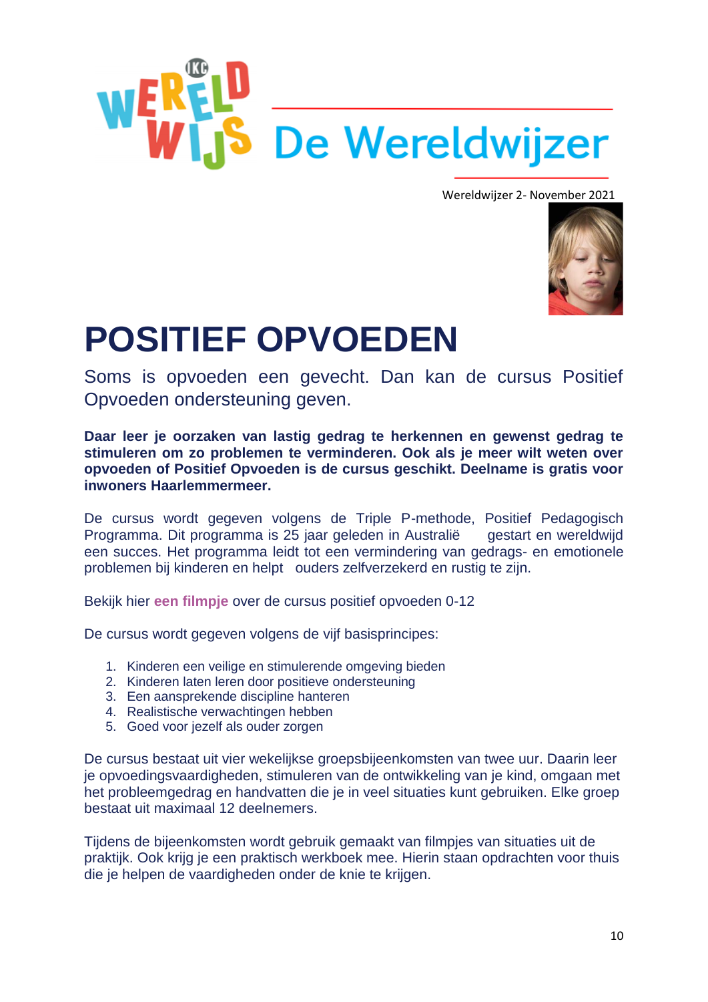



### **POSITIEF OPVOEDEN**

Soms is opvoeden een gevecht. Dan kan de cursus Positief Opvoeden ondersteuning geven.

**Daar leer je oorzaken van lastig gedrag te herkennen en gewenst gedrag te stimuleren om zo problemen te verminderen. Ook als je meer wilt weten over opvoeden of Positief Opvoeden is de cursus geschikt. Deelname is gratis voor inwoners Haarlemmermeer.** 

De cursus wordt gegeven volgens de Triple P-methode, Positief Pedagogisch Programma. Dit programma is 25 jaar geleden in Australië gestart en wereldwijd een succes. Het programma leidt tot een vermindering van gedrags- en emotionele problemen bij kinderen en helpt ouders zelfverzekerd en rustig te zijn.

Bekijk hier **[een filmpje](https://youtu.be/_7Hki_IYAP0)** over de cursus positief opvoeden 0-12

De cursus wordt gegeven volgens de vijf basisprincipes:

- 1. Kinderen een veilige en stimulerende omgeving bieden
- 2. Kinderen laten leren door positieve ondersteuning
- 3. Een aansprekende discipline hanteren
- 4. Realistische verwachtingen hebben
- 5. Goed voor jezelf als ouder zorgen

De cursus bestaat uit vier wekelijkse groepsbijeenkomsten van twee uur. Daarin leer je opvoedingsvaardigheden, stimuleren van de ontwikkeling van je kind, omgaan met het probleemgedrag en handvatten die je in veel situaties kunt gebruiken. Elke groep bestaat uit maximaal 12 deelnemers.

Tijdens de bijeenkomsten wordt gebruik gemaakt van filmpjes van situaties uit de praktijk. Ook krijg je een praktisch werkboek mee. Hierin staan opdrachten voor thuis die je helpen de vaardigheden onder de knie te krijgen.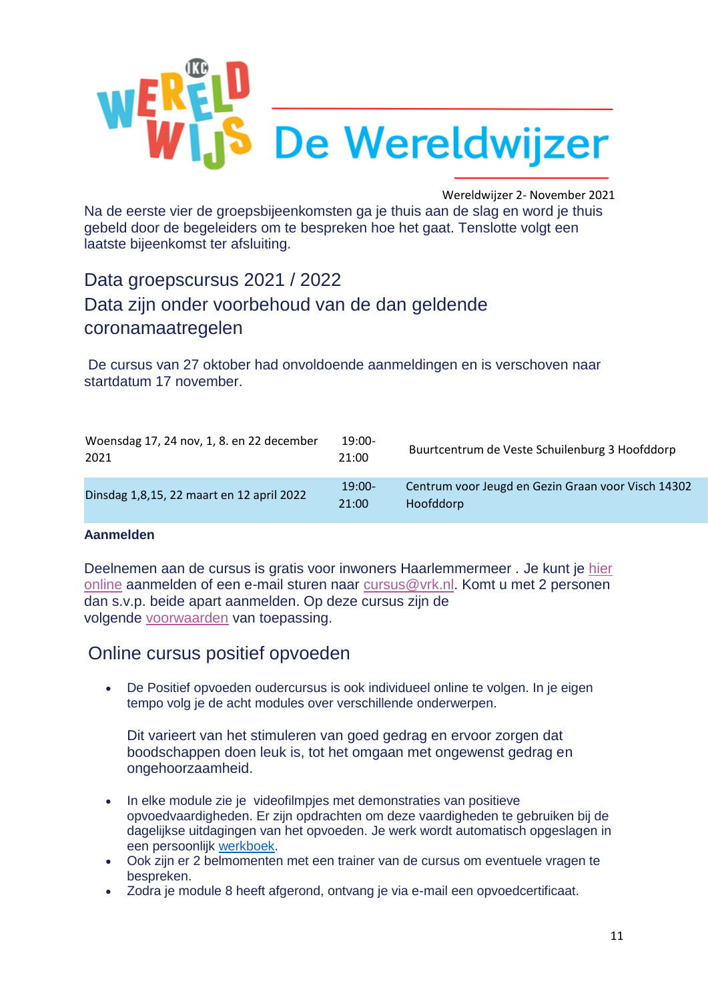

Na de eerste vier de groepsbijeenkomsten ga je thuis aan de slag en word je thuis gebeld door de begeleiders om te bespreken hoe het gaat. Tenslotte volgt een laatste bijeenkomst ter afsluiting.

Data groepscursus 2021 / 2022

#### Data zijn onder voorbehoud van de dan geldende coronamaatregelen

De cursus van 27 oktober had onvoldoende aanmeldingen en is verschoven naar startdatum 17 november.

| Woensdag 17, 24 nov, 1, 8. en 22 december<br>2021 | $19:00-$<br>21:00 | Buurtcentrum de Veste Schuilenburg 3 Hoofddorp                  |
|---------------------------------------------------|-------------------|-----------------------------------------------------------------|
| Dinsdag 1,8,15, 22 maart en 12 april 2022         | $19:00-$<br>21:00 | Centrum voor Jeugd en Gezin Graan voor Visch 14302<br>Hoofddorp |

#### **Aanmelden**

Deelnemen aan de cursus is gratis voor inwoners Haarlemmermeer . Je kunt je [hier](https://kennemerland.webcursistenmanager.nl/public/course/page/1)  [online](https://kennemerland.webcursistenmanager.nl/public/course/page/1) aanmelden of een e-mail sturen naar [cursus@vrk.nl.](mailto:cursus@vrk.nl) Komt u met 2 personen dan s.v.p. beide apart aanmelden. Op deze cursus zijn de volgende [voorwaarden](https://www.ggdkennemerland.nl/-/media/ggdwebsites-2016/documenten/jgz/cursusvoorwaarden-zonder-factuur.ashx?la=nl-nl) van toepassing.

#### Online cursus positief opvoeden

• De Positief opvoeden oudercursus is ook individueel online te volgen. In je eigen tempo volg je de acht modules over verschillende onderwerpen.

Dit varieert van het stimuleren van goed gedrag en ervoor zorgen dat boodschappen doen leuk is, tot het omgaan met ongewenst gedrag en ongehoorzaamheid.

- In elke module zie je videofilmpjes met demonstraties van positieve opvoedvaardigheden. Er zijn opdrachten om deze vaardigheden te gebruiken bij de dagelijkse uitdagingen van het opvoeden. Je werk wordt automatisch opgeslagen in een persoonlijk [werkboek.](https://nl.tripleponline.net/workbook.aspx)
- Ook zijn er 2 belmomenten met een trainer van de cursus om eventuele vragen te bespreken.
- Zodra je module 8 heeft afgerond, ontvang je via e-mail een opvoedcertificaat.